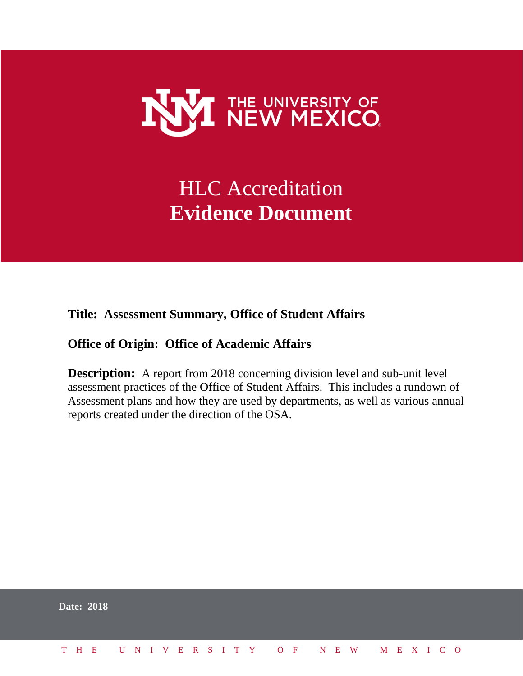

# HLC Accreditation **Evidence Document**

## **Title: Assessment Summary, Office of Student Affairs**

## **Office of Origin: Office of Academic Affairs**

**Description:** A report from 2018 concerning division level and sub-unit level assessment practices of the Office of Student Affairs. This includes a rundown of Assessment plans and how they are used by departments, as well as various annual reports created under the direction of the OSA.

|  | <b>Date: 2018</b>            |  |  |  |  |  |  |  |  |  |  |  |  |  |
|--|------------------------------|--|--|--|--|--|--|--|--|--|--|--|--|--|
|  | THE UNIVERSITY OF NEW MEXICO |  |  |  |  |  |  |  |  |  |  |  |  |  |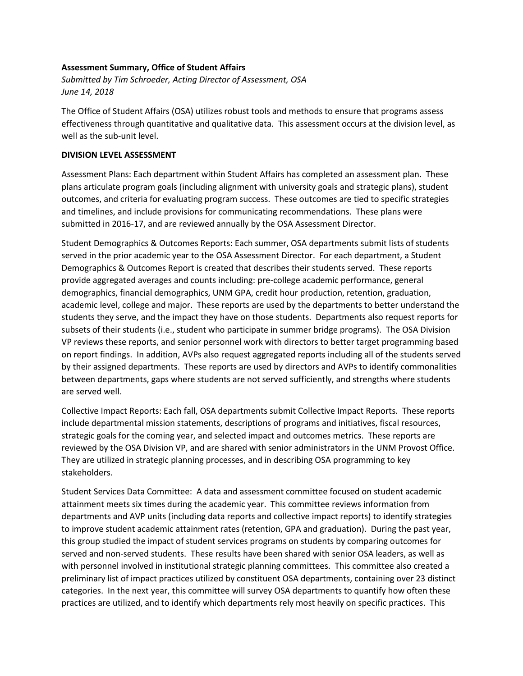#### **Assessment Summary, Office of Student Affairs**

*Submitted by Tim Schroeder, Acting Director of Assessment, OSA June 14, 2018*

The Office of Student Affairs (OSA) utilizes robust tools and methods to ensure that programs assess effectiveness through quantitative and qualitative data. This assessment occurs at the division level, as well as the sub-unit level.

#### **DIVISION LEVEL ASSESSMENT**

Assessment Plans: Each department within Student Affairs has completed an assessment plan. These plans articulate program goals (including alignment with university goals and strategic plans), student outcomes, and criteria for evaluating program success. These outcomes are tied to specific strategies and timelines, and include provisions for communicating recommendations. These plans were submitted in 2016-17, and are reviewed annually by the OSA Assessment Director.

Student Demographics & Outcomes Reports: Each summer, OSA departments submit lists of students served in the prior academic year to the OSA Assessment Director. For each department, a Student Demographics & Outcomes Report is created that describes their students served. These reports provide aggregated averages and counts including: pre-college academic performance, general demographics, financial demographics, UNM GPA, credit hour production, retention, graduation, academic level, college and major. These reports are used by the departments to better understand the students they serve, and the impact they have on those students. Departments also request reports for subsets of their students (i.e., student who participate in summer bridge programs). The OSA Division VP reviews these reports, and senior personnel work with directors to better target programming based on report findings. In addition, AVPs also request aggregated reports including all of the students served by their assigned departments. These reports are used by directors and AVPs to identify commonalities between departments, gaps where students are not served sufficiently, and strengths where students are served well.

Collective Impact Reports: Each fall, OSA departments submit Collective Impact Reports. These reports include departmental mission statements, descriptions of programs and initiatives, fiscal resources, strategic goals for the coming year, and selected impact and outcomes metrics. These reports are reviewed by the OSA Division VP, and are shared with senior administrators in the UNM Provost Office. They are utilized in strategic planning processes, and in describing OSA programming to key stakeholders.

Student Services Data Committee: A data and assessment committee focused on student academic attainment meets six times during the academic year. This committee reviews information from departments and AVP units (including data reports and collective impact reports) to identify strategies to improve student academic attainment rates (retention, GPA and graduation). During the past year, this group studied the impact of student services programs on students by comparing outcomes for served and non-served students. These results have been shared with senior OSA leaders, as well as with personnel involved in institutional strategic planning committees. This committee also created a preliminary list of impact practices utilized by constituent OSA departments, containing over 23 distinct categories. In the next year, this committee will survey OSA departments to quantify how often these practices are utilized, and to identify which departments rely most heavily on specific practices. This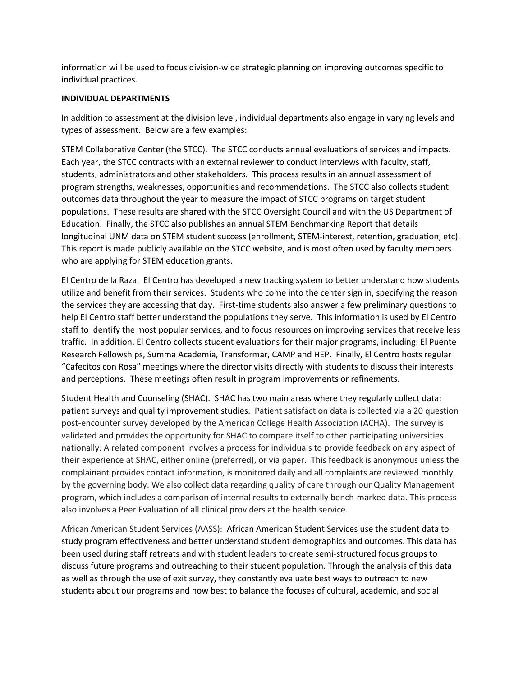information will be used to focus division-wide strategic planning on improving outcomes specific to individual practices.

#### **INDIVIDUAL DEPARTMENTS**

In addition to assessment at the division level, individual departments also engage in varying levels and types of assessment. Below are a few examples:

STEM Collaborative Center (the STCC). The STCC conducts annual evaluations of services and impacts. Each year, the STCC contracts with an external reviewer to conduct interviews with faculty, staff, students, administrators and other stakeholders. This process results in an annual assessment of program strengths, weaknesses, opportunities and recommendations. The STCC also collects student outcomes data throughout the year to measure the impact of STCC programs on target student populations. These results are shared with the STCC Oversight Council and with the US Department of Education. Finally, the STCC also publishes an annual STEM Benchmarking Report that details longitudinal UNM data on STEM student success (enrollment, STEM-interest, retention, graduation, etc). This report is made publicly available on the STCC website, and is most often used by faculty members who are applying for STEM education grants.

El Centro de la Raza. El Centro has developed a new tracking system to better understand how students utilize and benefit from their services. Students who come into the center sign in, specifying the reason the services they are accessing that day. First-time students also answer a few preliminary questions to help El Centro staff better understand the populations they serve. This information is used by El Centro staff to identify the most popular services, and to focus resources on improving services that receive less traffic. In addition, El Centro collects student evaluations for their major programs, including: El Puente Research Fellowships, Summa Academia, Transformar, CAMP and HEP. Finally, El Centro hosts regular "Cafecitos con Rosa" meetings where the director visits directly with students to discuss their interests and perceptions. These meetings often result in program improvements or refinements.

Student Health and Counseling (SHAC). SHAC has two main areas where they regularly collect data: patient surveys and quality improvement studies. Patient satisfaction data is collected via a 20 question post-encounter survey developed by the American College Health Association (ACHA). The survey is validated and provides the opportunity for SHAC to compare itself to other participating universities nationally. A related component involves a process for individuals to provide feedback on any aspect of their experience at SHAC, either online (preferred), or via paper. This feedback is anonymous unless the complainant provides contact information, is monitored daily and all complaints are reviewed monthly by the governing body. We also collect data regarding quality of care through our Quality Management program, which includes a comparison of internal results to externally bench-marked data. This process also involves a Peer Evaluation of all clinical providers at the health service.

African American Student Services (AASS): African American Student Services use the student data to study program effectiveness and better understand student demographics and outcomes. This data has been used during staff retreats and with student leaders to create semi-structured focus groups to discuss future programs and outreaching to their student population. Through the analysis of this data as well as through the use of exit survey, they constantly evaluate best ways to outreach to new students about our programs and how best to balance the focuses of cultural, academic, and social